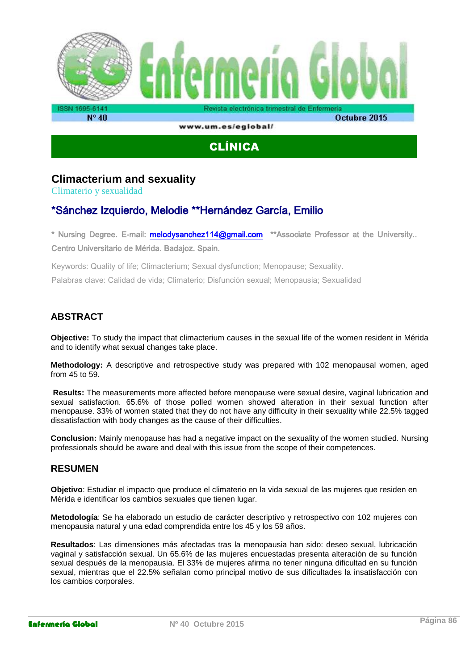

www.um.es/eglobal/

# CLÍNICA

# **Climacterium and sexuality**

Climaterio y sexualidad

# \*Sánchez Izquierdo, Melodie \*\*Hernández García, Emilio

\* Nursing Degree. E-mail: [melodysanchez114@gmail.com](mailto:melodysanchez114@gmail.com) \*\*Associate Professor at the University.. Centro Universitario de Mérida. Badajoz. Spain.

Keywords: Quality of life; Climacterium; Sexual dysfunction; Menopause; Sexuality. Palabras clave: Calidad de vida; Climaterio; Disfunción sexual; Menopausia; Sexualidad

# **ABSTRACT**

**Objective:** To study the impact that climacterium causes in the sexual life of the women resident in Mérida and to identify what sexual changes take place.

**Methodology:** A descriptive and retrospective study was prepared with 102 menopausal women, aged from 45 to 59.

**Results:** The measurements more affected before menopause were sexual desire, vaginal lubrication and sexual satisfaction. 65.6% of those polled women showed alteration in their sexual function after menopause. 33% of women stated that they do not have any difficulty in their sexuality while 22.5% tagged dissatisfaction with body changes as the cause of their difficulties.

**Conclusion:** Mainly menopause has had a negative impact on the sexuality of the women studied. Nursing professionals should be aware and deal with this issue from the scope of their competences.

#### **RESUMEN**

**Objetivo**: Estudiar el impacto que produce el climaterio en la vida sexual de las mujeres que residen en Mérida e identificar los cambios sexuales que tienen lugar.

**Metodología**: Se ha elaborado un estudio de carácter descriptivo y retrospectivo con 102 mujeres con menopausia natural y una edad comprendida entre los 45 y los 59 años.

**Resultados**: Las dimensiones más afectadas tras la menopausia han sido: deseo sexual, lubricación vaginal y satisfacción sexual. Un 65.6% de las mujeres encuestadas presenta alteración de su función sexual después de la menopausia. El 33% de mujeres afirma no tener ninguna dificultad en su función sexual, mientras que el 22.5% señalan como principal motivo de sus dificultades la insatisfacción con los cambios corporales.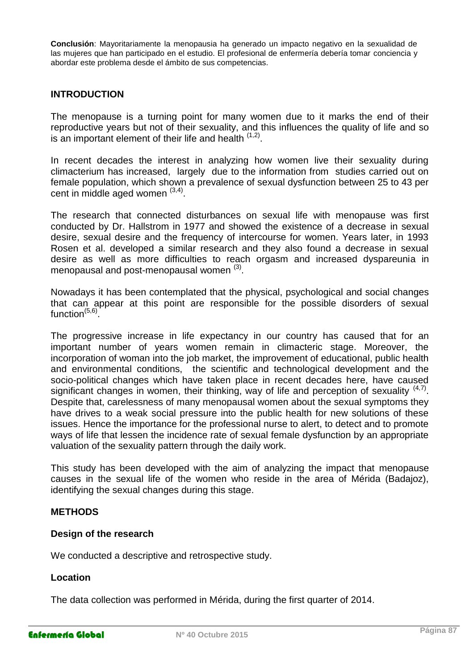**Conclusión**: Mayoritariamente la menopausia ha generado un impacto negativo en la sexualidad de las mujeres que han participado en el estudio. El profesional de enfermería debería tomar conciencia y abordar este problema desde el ámbito de sus competencias.

#### **INTRODUCTION**

The menopause is a turning point for many women due to it marks the end of their reproductive years but not of their sexuality, and this influences the quality of life and so is an important element of their life and health  $(1,2)$ .

In recent decades the interest in analyzing how women live their sexuality during climacterium has increased, largely due to the information from studies carried out on female population, which shown a prevalence of sexual dysfunction between 25 to 43 per cent in middle aged women  $(3,4)$ .

The research that connected disturbances on sexual life with menopause was first conducted by Dr. Hallstrom in 1977 and showed the existence of a decrease in sexual desire, sexual desire and the frequency of intercourse for women. Years later, in 1993 Rosen et al. developed a similar research and they also found a decrease in sexual desire as well as more difficulties to reach orgasm and increased dyspareunia in menopausal and post-menopausal women  $^{(3)}$ .

Nowadays it has been contemplated that the physical, psychological and social changes that can appear at this point are responsible for the possible disorders of sexual function<sup>(5,6)</sup>.

The progressive increase in life expectancy in our country has caused that for an important number of years women remain in climacteric stage. Moreover, the incorporation of woman into the job market, the improvement of educational, public health and environmental conditions, the scientific and technological development and the socio-political changes which have taken place in recent decades here, have caused significant changes in women, their thinking, way of life and perception of sexuality  $(4,7)$ . Despite that, carelessness of many menopausal women about the sexual symptoms they have drives to a weak social pressure into the public health for new solutions of these issues. Hence the importance for the professional nurse to alert, to detect and to promote ways of life that lessen the incidence rate of sexual female dysfunction by an appropriate valuation of the sexuality pattern through the daily work.

This study has been developed with the aim of analyzing the impact that menopause causes in the sexual life of the women who reside in the area of Mérida (Badajoz), identifying the sexual changes during this stage.

#### **METHODS**

#### **Design of the research**

We conducted a descriptive and retrospective study.

#### **Location**

The data collection was performed in Mérida, during the first quarter of 2014.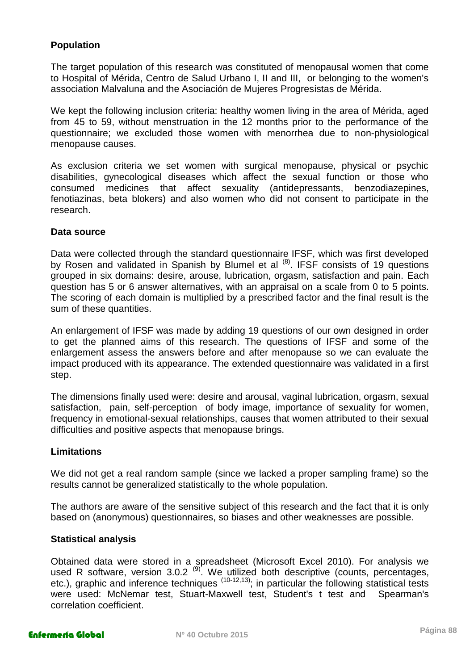## **Population**

The target population of this research was constituted of menopausal women that come to Hospital of Mérida, Centro de Salud Urbano I, II and III, or belonging to the women's association Malvaluna and the Asociación de Mujeres Progresistas de Mérida.

We kept the following inclusion criteria: healthy women living in the area of Mérida, aged from 45 to 59, without menstruation in the 12 months prior to the performance of the questionnaire; we excluded those women with menorrhea due to non-physiological menopause causes.

As exclusion criteria we set women with surgical menopause, physical or psychic disabilities, gynecological diseases which affect the sexual function or those who consumed medicines that affect sexuality (antidepressants, benzodiazepines, fenotiazinas, beta blokers) and also women who did not consent to participate in the research.

#### **Data source**

Data were collected through the standard questionnaire IFSF, which was first developed by Rosen and validated in Spanish by Blumel et al  $^{(8)}$ . IFSF consists of 19 questions grouped in six domains: desire, arouse, lubrication, orgasm, satisfaction and pain. Each question has 5 or 6 answer alternatives, with an appraisal on a scale from 0 to 5 points. The scoring of each domain is multiplied by a prescribed factor and the final result is the sum of these quantities.

An enlargement of IFSF was made by adding 19 questions of our own designed in order to get the planned aims of this research. The questions of IFSF and some of the enlargement assess the answers before and after menopause so we can evaluate the impact produced with its appearance. The extended questionnaire was validated in a first step.

The dimensions finally used were: desire and arousal, vaginal lubrication, orgasm, sexual satisfaction, pain, self-perception of body image, importance of sexuality for women, frequency in emotional-sexual relationships, causes that women attributed to their sexual difficulties and positive aspects that menopause brings.

#### **Limitations**

We did not get a real random sample (since we lacked a proper sampling frame) so the results cannot be generalized statistically to the whole population.

The authors are aware of the sensitive subject of this research and the fact that it is only based on (anonymous) questionnaires, so biases and other weaknesses are possible.

#### **Statistical analysis**

Obtained data were stored in a spreadsheet (Microsoft Excel 2010). For analysis we used R software, version  $3.0.2$   $^{(9)}$ . We utilized both descriptive (counts, percentages, etc.), graphic and inference techniques (10-12,13); in particular the following statistical tests were used: McNemar test, Stuart-Maxwell test, Student's t test and Spearman's correlation coefficient.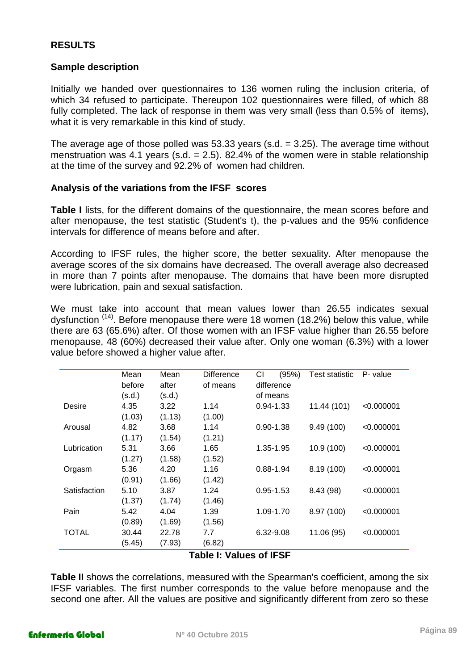#### **RESULTS**

#### **Sample description**

Initially we handed over questionnaires to 136 women ruling the inclusion criteria, of which 34 refused to participate. Thereupon 102 questionnaires were filled, of which 88 fully completed. The lack of response in them was very small (less than 0.5% of items), what it is very remarkable in this kind of study.

The average age of those polled was 53.33 years (s.d.  $= 3.25$ ). The average time without menstruation was 4.1 years (s.d.  $= 2.5$ ). 82.4% of the women were in stable relationship at the time of the survey and 92.2% of women had children.

#### **Analysis of the variations from the IFSF scores**

**Table I** lists, for the different domains of the questionnaire, the mean scores before and after menopause, the test statistic (Student's t), the p-values and the 95% confidence intervals for difference of means before and after.

According to IFSF rules, the higher score, the better sexuality. After menopause the average scores of the six domains have decreased. The overall average also decreased in more than 7 points after menopause. The domains that have been more disrupted were lubrication, pain and sexual satisfaction.

We must take into account that mean values lower than 26.55 indicates sexual dysfunction <sup>(14)</sup>. Before menopause there were 18 women (18.2%) below this value, while there are 63 (65.6%) after. Of those women with an IFSF value higher than 26.55 before menopause, 48 (60%) decreased their value after. Only one woman (6.3%) with a lower value before showed a higher value after.

|              | Mean   | Mean   | <b>Difference</b> | СI<br>(95%)   | Test statistic | P- value   |
|--------------|--------|--------|-------------------|---------------|----------------|------------|
|              | before | after  | of means          | difference    |                |            |
|              | (s.d.) | (s.d.) |                   | of means      |                |            |
| Desire       | 4.35   | 3.22   | 1.14              | $0.94 - 1.33$ | 11.44 (101)    | < 0.000001 |
|              | (1.03) | (1.13) | (1.00)            |               |                |            |
| Arousal      | 4.82   | 3.68   | 1.14              | $0.90 - 1.38$ | 9.49(100)      | < 0.000001 |
|              | (1.17) | (1.54) | (1.21)            |               |                |            |
| Lubrication  | 5.31   | 3.66   | 1.65              | 1.35-1.95     | 10.9 (100)     | < 0.000001 |
|              | (1.27) | (1.58) | (1.52)            |               |                |            |
| Orgasm       | 5.36   | 4.20   | 1.16              | $0.88 - 1.94$ | 8.19(100)      | < 0.000001 |
|              | (0.91) | (1.66) | (1.42)            |               |                |            |
| Satisfaction | 5.10   | 3.87   | 1.24              | $0.95 - 1.53$ | 8.43 (98)      | < 0.000001 |
|              | (1.37) | (1.74) | (1.46)            |               |                |            |
| Pain         | 5.42   | 4.04   | 1.39              | 1.09-1.70     | 8.97 (100)     | < 0.000001 |
|              | (0.89) | (1.69) | (1.56)            |               |                |            |
| <b>TOTAL</b> | 30.44  | 22.78  | 7.7               | 6.32-9.08     | 11.06 (95)     | < 0.000001 |
|              | (5.45) | (7.93) | (6.82)            |               |                |            |
|              |        |        |                   | .             |                |            |

#### **Table I: Values of IFSF**

**Table II** shows the correlations, measured with the Spearman's coefficient, among the six IFSF variables. The first number corresponds to the value before menopause and the second one after. All the values are positive and significantly different from zero so these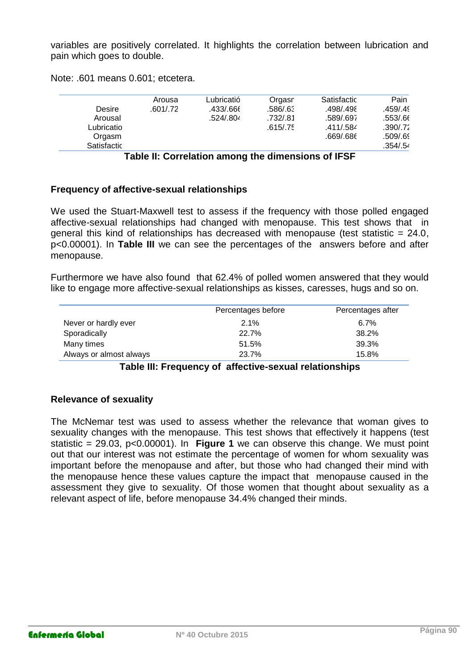variables are positively correlated. It highlights the correlation between lubrication and pain which goes to double.

Note: .601 means 0.601; etcetera.

| Desire<br>Arousal<br>Lubricatio | Arousa<br>.601/.72 | Lubricatió<br>.433/.666<br>.524/.804 | Orgasn<br>:586/.63<br>.732/.81<br>.615/.75 | Satisfactic<br>.498/.498<br>.589/.697<br>.411/.584 | Pain<br>.459/.49<br>.553/.66<br>.390/0.72 |
|---------------------------------|--------------------|--------------------------------------|--------------------------------------------|----------------------------------------------------|-------------------------------------------|
| Orgasm                          |                    |                                      |                                            | .669/.686                                          | .509/.69                                  |
| Satisfactic                     |                    |                                      |                                            |                                                    | .354/.54                                  |

**Table II: Correlation among the dimensions of IFSF**

#### **Frequency of affective-sexual relationships**

We used the Stuart-Maxwell test to assess if the frequency with those polled engaged affective-sexual relationships had changed with menopause. This test shows that in general this kind of relationships has decreased with menopause (test statistic  $= 24.0$ , p<0.00001). In **Table III** we can see the percentages of the answers before and after menopause.

Furthermore we have also found that 62.4% of polled women answered that they would like to engage more affective-sexual relationships as kisses, caresses, hugs and so on.

|                         | Percentages before | Percentages after |
|-------------------------|--------------------|-------------------|
| Never or hardly ever    | 2.1%               | $6.7\%$           |
| Sporadically            | 22.7%              | 38.2%             |
| Many times              | 51.5%              | 39.3%             |
| Always or almost always | 23.7%              | 15.8%             |

#### **Table III: Frequency of affective-sexual relationships**

#### **Relevance of sexuality**

The McNemar test was used to assess whether the relevance that woman gives to sexuality changes with the menopause. This test shows that effectively it happens (test statistic = 29.03, p<0.00001). In **Figure 1** we can observe this change. We must point out that our interest was not estimate the percentage of women for whom sexuality was important before the menopause and after, but those who had changed their mind with the menopause hence these values capture the impact that menopause caused in the assessment they give to sexuality. Of those women that thought about sexuality as a relevant aspect of life, before menopause 34.4% changed their minds.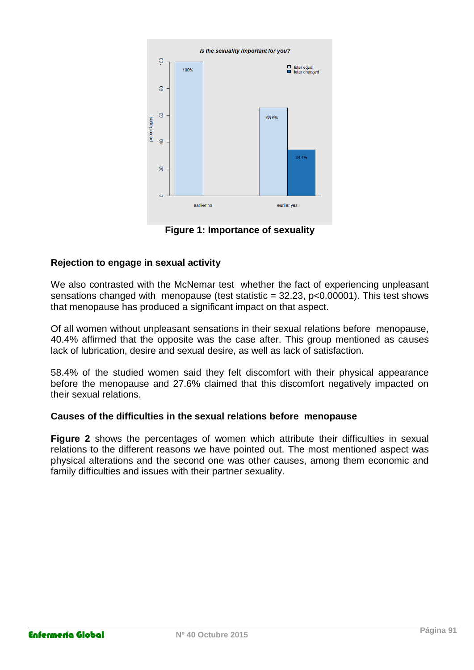

**Figure 1: Importance of sexuality**

## **Rejection to engage in sexual activity**

We also contrasted with the McNemar test whether the fact of experiencing unpleasant sensations changed with menopause (test statistic = 32.23, p<0.00001). This test shows that menopause has produced a significant impact on that aspect.

Of all women without unpleasant sensations in their sexual relations before menopause, 40.4% affirmed that the opposite was the case after. This group mentioned as causes lack of lubrication, desire and sexual desire, as well as lack of satisfaction.

58.4% of the studied women said they felt discomfort with their physical appearance before the menopause and 27.6% claimed that this discomfort negatively impacted on their sexual relations.

#### **Causes of the difficulties in the sexual relations before menopause**

**Figure 2** shows the percentages of women which attribute their difficulties in sexual relations to the different reasons we have pointed out. The most mentioned aspect was physical alterations and the second one was other causes, among them economic and family difficulties and issues with their partner sexuality.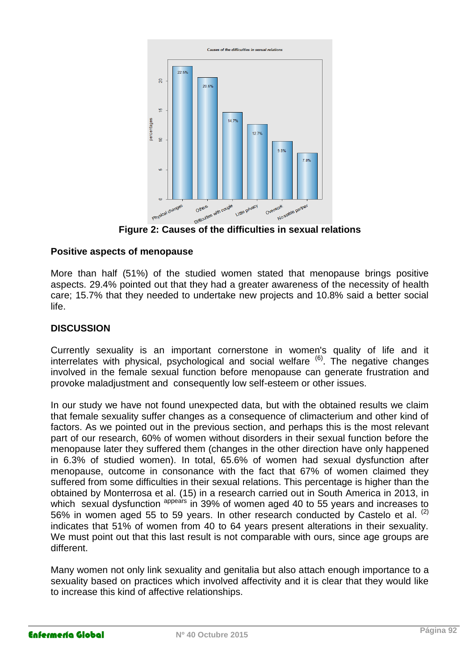

#### **Positive aspects of menopause**

More than half (51%) of the studied women stated that menopause brings positive aspects. 29.4% pointed out that they had a greater awareness of the necessity of health care; 15.7% that they needed to undertake new projects and 10.8% said a better social life.

## **DISCUSSION**

Currently sexuality is an important cornerstone in women's quality of life and it interrelates with physical, psychological and social welfare <sup>(6)</sup>. The negative changes involved in the female sexual function before menopause can generate frustration and provoke maladjustment and consequently low self-esteem or other issues.

In our study we have not found unexpected data, but with the obtained results we claim that female sexuality suffer changes as a consequence of climacterium and other kind of factors. As we pointed out in the previous section, and perhaps this is the most relevant part of our research, 60% of women without disorders in their sexual function before the menopause later they suffered them (changes in the other direction have only happened in 6.3% of studied women). In total, 65.6% of women had sexual dysfunction after menopause, outcome in consonance with the fact that 67% of women claimed they suffered from some difficulties in their sexual relations. This percentage is higher than the obtained by Monterrosa et al. (15) in a research carried out in South America in 2013, in which sexual dysfunction <sup>appears</sup> in 39% of women aged 40 to 55 years and increases to 56% in women aged 55 to 59 years. In other research conducted by Castelo et al.  $(2)$ indicates that 51% of women from 40 to 64 years present alterations in their sexuality. We must point out that this last result is not comparable with ours, since age groups are different.

Many women not only link sexuality and genitalia but also attach enough importance to a sexuality based on practices which involved affectivity and it is clear that they would like to increase this kind of affective relationships.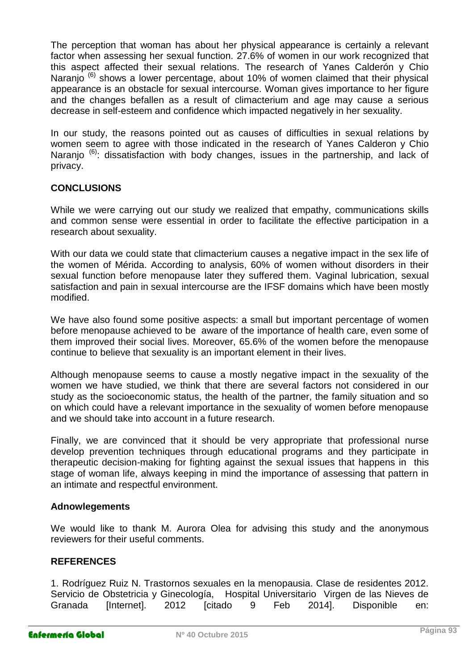The perception that woman has about her physical appearance is certainly a relevant factor when assessing her sexual function. 27.6% of women in our work recognized that this aspect affected their sexual relations. The research of Yanes Calderón y Chio Naranio<sup>(6)</sup> shows a lower percentage, about 10% of women claimed that their physical appearance is an obstacle for sexual intercourse. Woman gives importance to her figure and the changes befallen as a result of climacterium and age may cause a serious decrease in self-esteem and confidence which impacted negatively in her sexuality.

In our study, the reasons pointed out as causes of difficulties in sexual relations by women seem to agree with those indicated in the research of Yanes Calderon y Chio Naranjo<sup>(6)</sup>: dissatisfaction with body changes, issues in the partnership, and lack of privacy.

## **CONCLUSIONS**

While we were carrying out our study we realized that empathy, communications skills and common sense were essential in order to facilitate the effective participation in a research about sexuality.

With our data we could state that climacterium causes a negative impact in the sex life of the women of Mérida. According to analysis, 60% of women without disorders in their sexual function before menopause later they suffered them. Vaginal lubrication, sexual satisfaction and pain in sexual intercourse are the IFSF domains which have been mostly modified.

We have also found some positive aspects: a small but important percentage of women before menopause achieved to be aware of the importance of health care, even some of them improved their social lives. Moreover, 65.6% of the women before the menopause continue to believe that sexuality is an important element in their lives.

Although menopause seems to cause a mostly negative impact in the sexuality of the women we have studied, we think that there are several factors not considered in our study as the socioeconomic status, the health of the partner, the family situation and so on which could have a relevant importance in the sexuality of women before menopause and we should take into account in a future research.

Finally, we are convinced that it should be very appropriate that professional nurse develop prevention techniques through educational programs and they participate in therapeutic decision-making for fighting against the sexual issues that happens in this stage of woman life, always keeping in mind the importance of assessing that pattern in an intimate and respectful environment.

#### **Adnowlegements**

We would like to thank M. Aurora Olea for advising this study and the anonymous reviewers for their useful comments.

#### **REFERENCES**

1. Rodríguez Ruiz N. Trastornos sexuales en la menopausia. Clase de residentes 2012. Servicio de Obstetricia y Ginecología, Hospital Universitario Virgen de las Nieves de Granada [Internet]. 2012 [citado 9 Feb 2014]. Disponible en: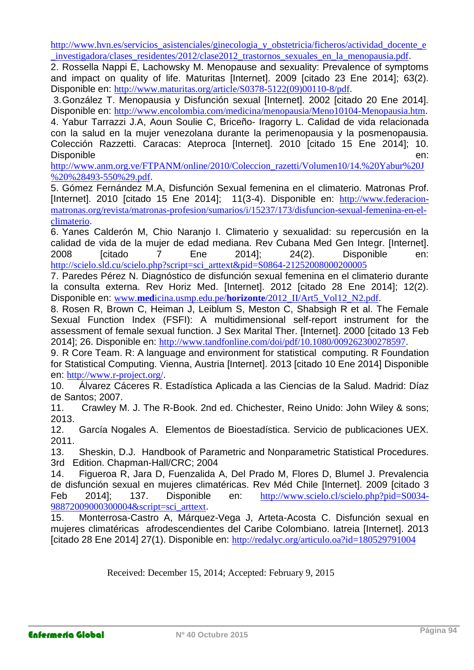[http://www.hvn.es/servicios\\_asistenciales/ginecologia\\_y\\_obstetricia/ficheros/actividad\\_docente\\_e](http://www.hvn.es/servicios_asistenciales/ginecologia_y_obstetricia/ficheros/actividad_docente_e_investigadora/clases_residentes/2012/clase2012_trastornos_sexuales_en_la_menopausia.pdf) investigadora/clases\_residentes/2012/clase2012\_trastornos\_sexuales\_en\_la\_menopausia.pdf.

2. Rossella Nappi E, Lachowsky M. Menopause and sexuality: Prevalence of symptoms and impact on quality of life. Maturitas [Internet]. 2009 [citado 23 Ene 2014]; 63(2). Disponible en: [http://www.maturitas.org/article/S0378-5122\(09\)00110-8/pdf](http://www.maturitas.org/article/S0378-5122(09)00110-8/pdf).

3.González T. Menopausia y Disfunción sexual [Internet]. 2002 [citado 20 Ene 2014]. Disponible en: <http://www.encolombia.com/medicina/menopausia/Meno10104-Menopausia.htm>.

4. Yabur Tarrazzi J.A, Aoun Soulie C, Briceño- Iragorry L. Calidad de vida relacionada con la salud en la mujer venezolana durante la perimenopausia y la posmenopausia. Colección Razzetti. Caracas: Ateproca [Internet]. 2010 [citado 15 Ene 2014]; 10. Disponible en:

[http://www.anm.org.ve/FTPANM/online/2010/Coleccion\\_razetti/Volumen10/14.%20Yabur%20J](http://www.anm.org.ve/FTPANM/online/2010/Coleccion_razetti/Volumen10/14.%20Yabur%20J%20%28493-550%29.pdf) [%20%28493-550%29.pdf](http://www.anm.org.ve/FTPANM/online/2010/Coleccion_razetti/Volumen10/14.%20Yabur%20J%20%28493-550%29.pdf).

5. Gómez Fernández M.A, Disfunción Sexual femenina en el climaterio. Matronas Prof. [Internet]. 2010 [citado 15 Ene 2014]; 11(3-4). Disponible en: [http://www.federacion](http://www.federacion-matronas.org/revista/matronas-profesion/sumarios/i/15237/173/disfuncion-sexual-femenina-en-el-climaterio)[matronas.org/revista/matronas-profesion/sumarios/i/15237/173/disfuncion-sexual-femenina-en-el](http://www.federacion-matronas.org/revista/matronas-profesion/sumarios/i/15237/173/disfuncion-sexual-femenina-en-el-climaterio)[climaterio](http://www.federacion-matronas.org/revista/matronas-profesion/sumarios/i/15237/173/disfuncion-sexual-femenina-en-el-climaterio).

6. Yanes Calderón M, Chio Naranjo I. Climaterio y sexualidad: su repercusión en la calidad de vida de la mujer de edad mediana. Rev Cubana Med Gen Integr. [Internet]. 2008 [citado 7 Ene 2014]; 24(2). Disponible en: [http://scielo.sld.cu/scielo.php?script=sci\\_arttext&pid=S0864-21252008000200005](http://scielo.sld.cu/scielo.php?script=sci_arttext&pid=S0864-21252008000200005)

7. Paredes Pérez N. Diagnóstico de disfunción sexual femenina en el climaterio durante la consulta externa. Rev Horiz Med. [Internet]. 2012 [citado 28 Ene 2014]; 12(2). Disponible en: www.**med**icina.usmp.edu.pe/**horizonte**[/2012\\_II/Art5\\_Vol12\\_N2.pdf](http://www.medicina.usmp.edu.pe/horizonte/2012_II/Art5_Vol12_N2.pdf).

8. Rosen R, Brown C, Heiman J, Leiblum S, Meston C, Shabsigh R et al. The Female Sexual Function Index (FSFI): A multidimensional self-report instrument for the assessment of female sexual function. J Sex Marital Ther. [Internet]. 2000 [citado 13 Feb 2014]; 26. Disponible en: <http://www.tandfonline.com/doi/pdf/10.1080/009262300278597>.

9. R Core Team. R: A language and environment for statistical computing. R Foundation for Statistical Computing. Vienna, Austria [Internet]. 2013 [citado 10 Ene 2014] Disponible en: <http://www.r-project.org/>.

10. Álvarez Cáceres R. Estadística Aplicada a las Ciencias de la Salud. Madrid: Díaz de Santos; 2007.

11. Crawley M. J. The R-Book. 2nd ed. Chichester, Reino Unido: John Wiley & sons; 2013.

12. García Nogales A. Elementos de Bioestadística. Servicio de publicaciones UEX. 2011.

13. Sheskin, D.J. Handbook of Parametric and Nonparametric Statistical Procedures. 3rd Edition. Chapman-Hall/CRC; 2004

14. Figueroa R, Jara D, Fuenzalida A, Del Prado M, Flores D, Blumel J. Prevalencia de disfunción sexual en mujeres climatéricas. Rev Méd Chile [Internet]. 2009 [citado 3 Feb 2014]; 137. Disponible en: [http://www.scielo.cl/scielo.php?pid=S0034-](http://www.scielo.cl/scielo.php?pid=S0034-98872009000300004&script=sci_arttext) [98872009000300004&script=sci\\_arttext](http://www.scielo.cl/scielo.php?pid=S0034-98872009000300004&script=sci_arttext).

15. Monterrosa-Castro A, Márquez-Vega J, Arteta-Acosta C. Disfunción sexual en mujeres climatéricas afrodescendientes del Caribe Colombiano. Iatreia [Internet]. 2013 [citado 28 Ene 2014] 27(1). Disponible en: <http://redalyc.org/articulo.oa?id=180529791004>

Received: December 15, 2014; Accepted: February 9, 2015